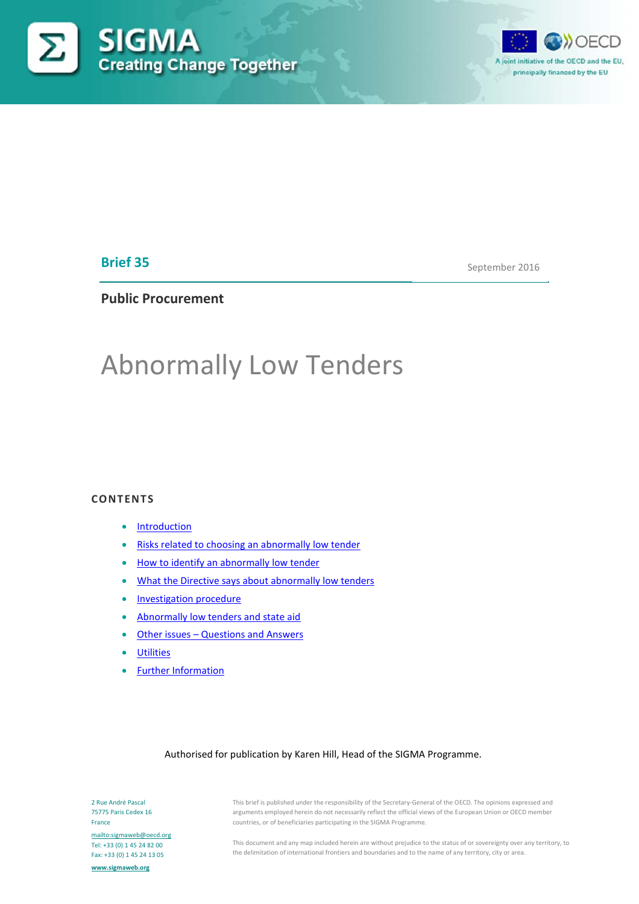



# **Brief 35**

September 2016

# **Public Procurement**

# Abnormally Low Tenders

### **CONTENTS**

- **[Introduction](#page-0-0)**
- Risks related to [choosing an abnormally low tender](#page-2-0)
- [How to identify an abnormally low tender](#page-3-0)
- [What the Directive says about abnormally low tenders](#page-6-0)
- [Investigation procedure](#page-6-1)
- [Abnormally low tenders and state aid](#page-7-0)
- Other issues Questions and Answers
- [Utilities](#page-10-0)
- [Further Information](#page-11-0)

#### Authorised for publication by Karen Hill, Head of the SIGMA Programme.

<span id="page-0-0"></span>2 Rue André Pascal 75775 Paris Cedex 16 France <mailto:sigmaweb@oecd.org> Tel: +33 (0) 1 45 24 82 00 Fax: +33 (0) 1 45 24 13 05 **[www.sigmaweb.org](http://www.sigmaweb.org/)**

This brief is published under the responsibility of the Secretary-General of the OECD. The opinions expressed and arguments employed herein do not necessarily reflect the official views of the European Union or OECD member countries, or of beneficiaries participating in the SIGMA Programme.

This document and any map included herein are without prejudice to the status of or sovereignty over any territory, to the delimitation of international frontiers and boundaries and to the name of any territory, city or area.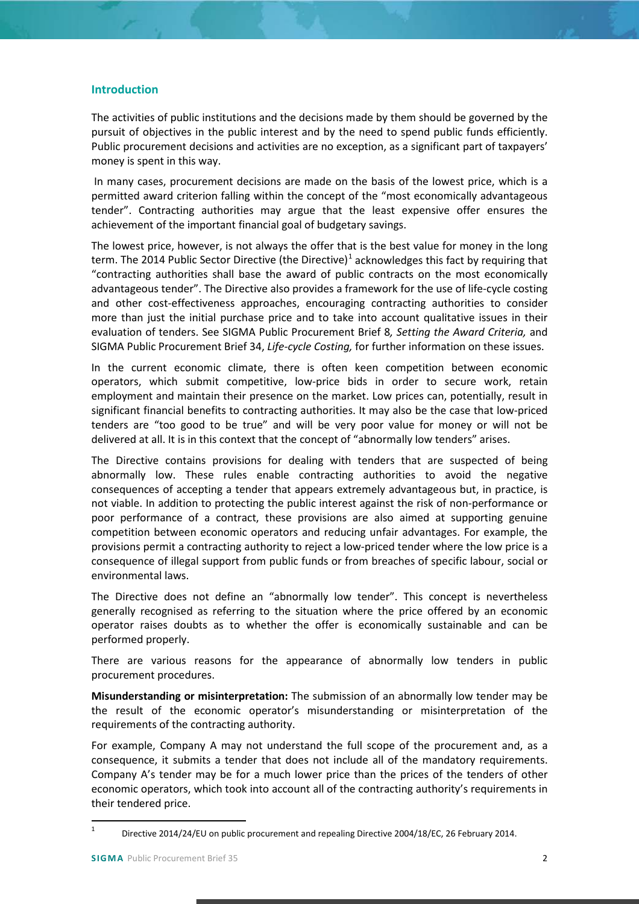## **Introduction**

The activities of public institutions and the decisions made by them should be governed by the pursuit of objectives in the public interest and by the need to spend public funds efficiently. Public procurement decisions and activities are no exception, as a significant part of taxpayers' money is spent in this way.

In many cases, procurement decisions are made on the basis of the lowest price, which is a permitted award criterion falling within the concept of the "most economically advantageous tender". Contracting authorities may argue that the least expensive offer ensures the achievement of the important financial goal of budgetary savings.

The lowest price, however, is not always the offer that is the best value for money in the long term. The 20[1](#page-1-0)4 Public Sector Directive (the Directive) $1$  acknowledges this fact by requiring that "contracting authorities shall base the award of public contracts on the most economically advantageous tender". The Directive also provides a framework for the use of life-cycle costing and other cost-effectiveness approaches, encouraging contracting authorities to consider more than just the initial purchase price and to take into account qualitative issues in their evaluation of tenders. See SIGMA Public Procurement Brief 8*, Setting the Award Criteria,* and SIGMA Public Procurement Brief 34, *Life-cycle Costing,* for further information on these issues.

In the current economic climate, there is often keen competition between economic operators, which submit competitive, low-price bids in order to secure work, retain employment and maintain their presence on the market. Low prices can, potentially, result in significant financial benefits to contracting authorities. It may also be the case that low-priced tenders are "too good to be true" and will be very poor value for money or will not be delivered at all. It is in this context that the concept of "abnormally low tenders" arises.

The Directive contains provisions for dealing with tenders that are suspected of being abnormally low. These rules enable contracting authorities to avoid the negative consequences of accepting a tender that appears extremely advantageous but, in practice, is not viable. In addition to protecting the public interest against the risk of non-performance or poor performance of a contract, these provisions are also aimed at supporting genuine competition between economic operators and reducing unfair advantages. For example, the provisions permit a contracting authority to reject a low-priced tender where the low price is a consequence of illegal support from public funds or from breaches of specific labour, social or environmental laws.

The Directive does not define an "abnormally low tender". This concept is nevertheless generally recognised as referring to the situation where the price offered by an economic operator raises doubts as to whether the offer is economically sustainable and can be performed properly.

There are various reasons for the appearance of abnormally low tenders in public procurement procedures.

**Misunderstanding or misinterpretation:** The submission of an abnormally low tender may be the result of the economic operator's misunderstanding or misinterpretation of the requirements of the contracting authority.

For example, Company A may not understand the full scope of the procurement and, as a consequence, it submits a tender that does not include all of the mandatory requirements. Company A's tender may be for a much lower price than the prices of the tenders of other economic operators, which took into account all of the contracting authority's requirements in their tendered price.

<span id="page-1-0"></span> <sup>1</sup> Directive 2014/24/EU on public procurement and repealing Directive 2004/18/EC, 26 February 2014.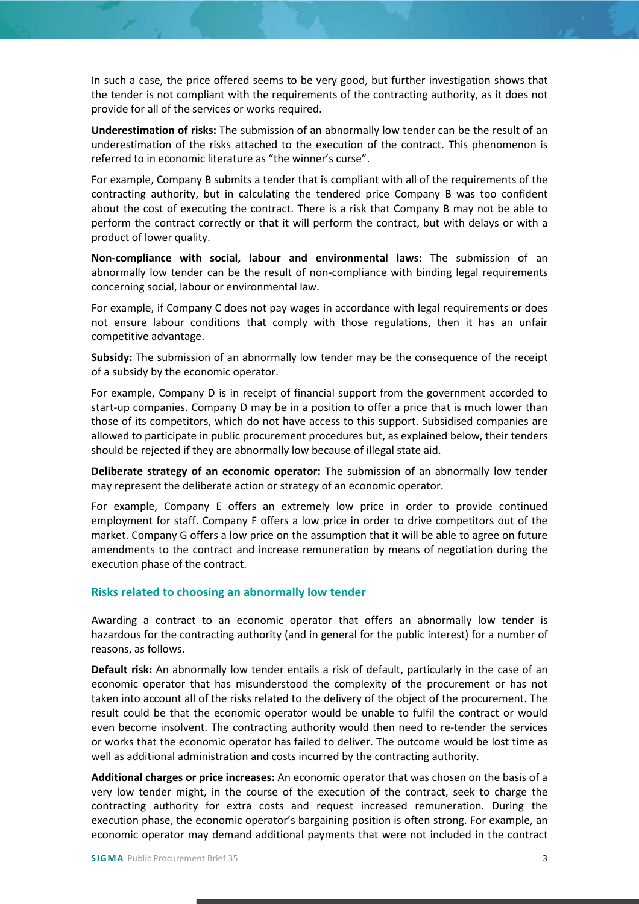In such a case, the price offered seems to be very good, but further investigation shows that the tender is not compliant with the requirements of the contracting authority, as it does not provide for all of the services or works required.

**Underestimation of risks:** The submission of an abnormally low tender can be the result of an underestimation of the risks attached to the execution of the contract. This phenomenon is referred to in economic literature as "the winner's curse".

For example, Company B submits a tender that is compliant with all of the requirements of the contracting authority, but in calculating the tendered price Company B was too confident about the cost of executing the contract. There is a risk that Company B may not be able to perform the contract correctly or that it will perform the contract, but with delays or with a product of lower quality.

**Non-compliance with social, labour and environmental laws:** The submission of an abnormally low tender can be the result of non-compliance with binding legal requirements concerning social, labour or environmental law.

For example, if Company C does not pay wages in accordance with legal requirements or does not ensure labour conditions that comply with those regulations, then it has an unfair competitive advantage.

**Subsidy:** The submission of an abnormally low tender may be the consequence of the receipt of a subsidy by the economic operator.

For example, Company D is in receipt of financial support from the government accorded to start-up companies. Company D may be in a position to offer a price that is much lower than those of its competitors, which do not have access to this support. Subsidised companies are allowed to participate in public procurement procedures but, as explained below, their tenders should be rejected if they are abnormally low because of illegal state aid.

**Deliberate strategy of an economic operator:** The submission of an abnormally low tender may represent the deliberate action or strategy of an economic operator.

For example, Company E offers an extremely low price in order to provide continued employment for staff. Company F offers a low price in order to drive competitors out of the market. Company G offers a low price on the assumption that it will be able to agree on future amendments to the contract and increase remuneration by means of negotiation during the execution phase of the contract.

## <span id="page-2-0"></span>**Risks related to choosing an abnormally low tender**

Awarding a contract to an economic operator that offers an abnormally low tender is hazardous for the contracting authority (and in general for the public interest) for a number of reasons, as follows.

**Default risk:** An abnormally low tender entails a risk of default, particularly in the case of an economic operator that has misunderstood the complexity of the procurement or has not taken into account all of the risks related to the delivery of the object of the procurement. The result could be that the economic operator would be unable to fulfil the contract or would even become insolvent. The contracting authority would then need to re-tender the services or works that the economic operator has failed to deliver. The outcome would be lost time as well as additional administration and costs incurred by the contracting authority.

**Additional charges or price increases:** An economic operator that was chosen on the basis of a very low tender might, in the course of the execution of the contract, seek to charge the contracting authority for extra costs and request increased remuneration. During the execution phase, the economic operator's bargaining position is often strong. For example, an economic operator may demand additional payments that were not included in the contract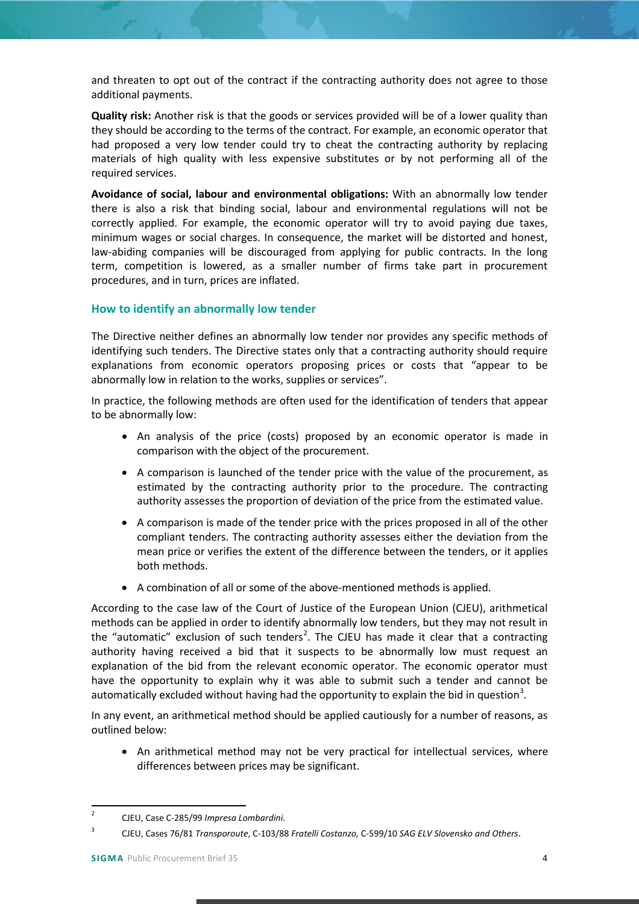and threaten to opt out of the contract if the contracting authority does not agree to those additional payments.

**Quality risk:** Another risk is that the goods or services provided will be of a lower quality than they should be according to the terms of the contract. For example, an economic operator that had proposed a very low tender could try to cheat the contracting authority by replacing materials of high quality with less expensive substitutes or by not performing all of the required services.

**Avoidance of social, labour and environmental obligations:** With an abnormally low tender there is also a risk that binding social, labour and environmental regulations will not be correctly applied. For example, the economic operator will try to avoid paying due taxes, minimum wages or social charges. In consequence, the market will be distorted and honest, law-abiding companies will be discouraged from applying for public contracts. In the long term, competition is lowered, as a smaller number of firms take part in procurement procedures, and in turn, prices are inflated.

# <span id="page-3-0"></span>**How to identify an abnormally low tender**

The Directive neither defines an abnormally low tender nor provides any specific methods of identifying such tenders. The Directive states only that a contracting authority should require explanations from economic operators proposing prices or costs that "appear to be abnormally low in relation to the works, supplies or services".

In practice, the following methods are often used for the identification of tenders that appear to be abnormally low:

- An analysis of the price (costs) proposed by an economic operator is made in comparison with the object of the procurement.
- A comparison is launched of the tender price with the value of the procurement, as estimated by the contracting authority prior to the procedure. The contracting authority assesses the proportion of deviation of the price from the estimated value.
- A comparison is made of the tender price with the prices proposed in all of the other compliant tenders. The contracting authority assesses either the deviation from the mean price or verifies the extent of the difference between the tenders, or it applies both methods.
- A combination of all or some of the above-mentioned methods is applied.

According to the case law of the Court of Justice of the European Union (CJEU), arithmetical methods can be applied in order to identify abnormally low tenders, but they may not result in the "automatic" exclusion of such tenders<sup>[2](#page-3-1)</sup>. The CJEU has made it clear that a contracting authority having received a bid that it suspects to be abnormally low must request an explanation of the bid from the relevant economic operator. The economic operator must have the opportunity to explain why it was able to submit such a tender and cannot be automatically excluded without having had the opportunity to explain the bid in question<sup>[3](#page-3-2)</sup>.

In any event, an arithmetical method should be applied cautiously for a number of reasons, as outlined below:

• An arithmetical method may not be very practical for intellectual services, where differences between prices may be significant.

<span id="page-3-1"></span> <sup>2</sup> CJEU, Case C-285/99 *Impresa Lombardini.*

<span id="page-3-2"></span><sup>3</sup> CJEU, Cases 76/81 *Transporoute*, C-103/88 *Fratelli Costanzo,* C-599/10 *SAG ELV Slovensko and Others*.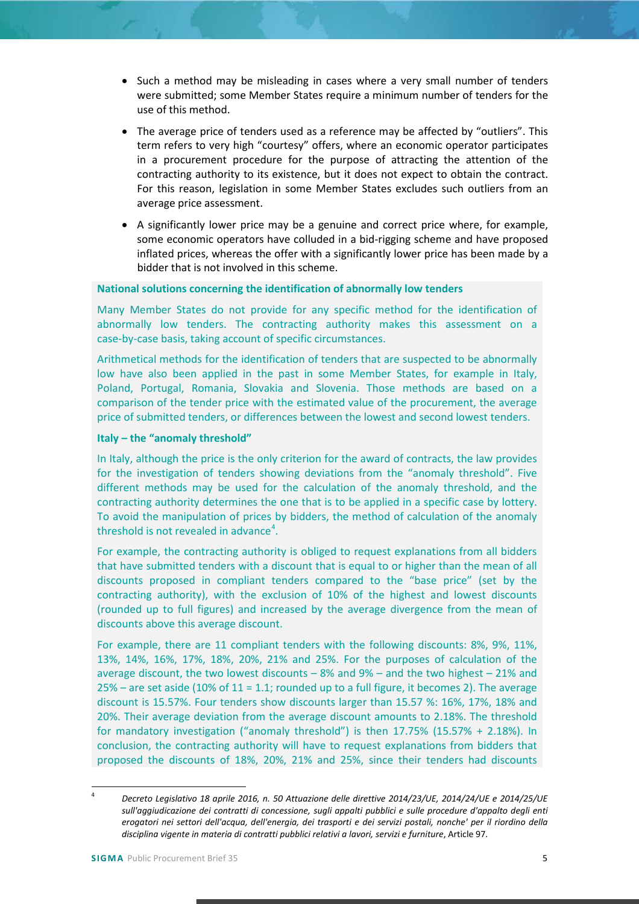- Such a method may be misleading in cases where a very small number of tenders were submitted; some Member States require a minimum number of tenders for the use of this method.
- The average price of tenders used as a reference may be affected by "outliers". This term refers to very high "courtesy" offers, where an economic operator participates in a procurement procedure for the purpose of attracting the attention of the contracting authority to its existence, but it does not expect to obtain the contract. For this reason, legislation in some Member States excludes such outliers from an average price assessment.
- A significantly lower price may be a genuine and correct price where, for example, some economic operators have colluded in a bid-rigging scheme and have proposed inflated prices, whereas the offer with a significantly lower price has been made by a bidder that is not involved in this scheme.

#### **National solutions concerning the identification of abnormally low tenders**

Many Member States do not provide for any specific method for the identification of abnormally low tenders. The contracting authority makes this assessment on a case-by-case basis, taking account of specific circumstances.

Arithmetical methods for the identification of tenders that are suspected to be abnormally low have also been applied in the past in some Member States, for example in Italy, Poland, Portugal, Romania, Slovakia and Slovenia. Those methods are based on a comparison of the tender price with the estimated value of the procurement, the average price of submitted tenders, or differences between the lowest and second lowest tenders.

#### **Italy – the "anomaly threshold"**

In Italy, although the price is the only criterion for the award of contracts, the law provides for the investigation of tenders showing deviations from the "anomaly threshold". Five different methods may be used for the calculation of the anomaly threshold, and the contracting authority determines the one that is to be applied in a specific case by lottery. To avoid the manipulation of prices by bidders, the method of calculation of the anomaly threshold is not revealed in advance<sup>[4](#page-4-0)</sup>.

For example, the contracting authority is obliged to request explanations from all bidders that have submitted tenders with a discount that is equal to or higher than the mean of all discounts proposed in compliant tenders compared to the "base price" (set by the contracting authority), with the exclusion of 10% of the highest and lowest discounts (rounded up to full figures) and increased by the average divergence from the mean of discounts above this average discount.

For example, there are 11 compliant tenders with the following discounts: 8%, 9%, 11%, 13%, 14%, 16%, 17%, 18%, 20%, 21% and 25%. For the purposes of calculation of the average discount, the two lowest discounts – 8% and 9% – and the two highest – 21% and  $25%$  – are set aside (10% of 11 = 1.1; rounded up to a full figure, it becomes 2). The average discount is 15.57%. Four tenders show discounts larger than 15.57 %: 16%, 17%, 18% and 20%. Their average deviation from the average discount amounts to 2.18%. The threshold for mandatory investigation ("anomaly threshold") is then 17.75% (15.57% + 2.18%). In conclusion, the contracting authority will have to request explanations from bidders that proposed the discounts of 18%, 20%, 21% and 25%, since their tenders had discounts

<span id="page-4-0"></span> <sup>4</sup> *Decreto Legislativo 18 aprile 2016, n. 50 Attuazione delle direttive 2014/23/UE, 2014/24/UE e 2014/25/UE sull'aggiudicazione dei contratti di concessione, sugli appalti pubblici e sulle procedure d'appalto degli enti erogatori nei settori dell'acqua, dell'energia, dei trasporti e dei servizi postali, nonche' per il riordino della disciplina vigente in materia di contratti pubblici relativi a lavori, servizi e furniture*, Article 97.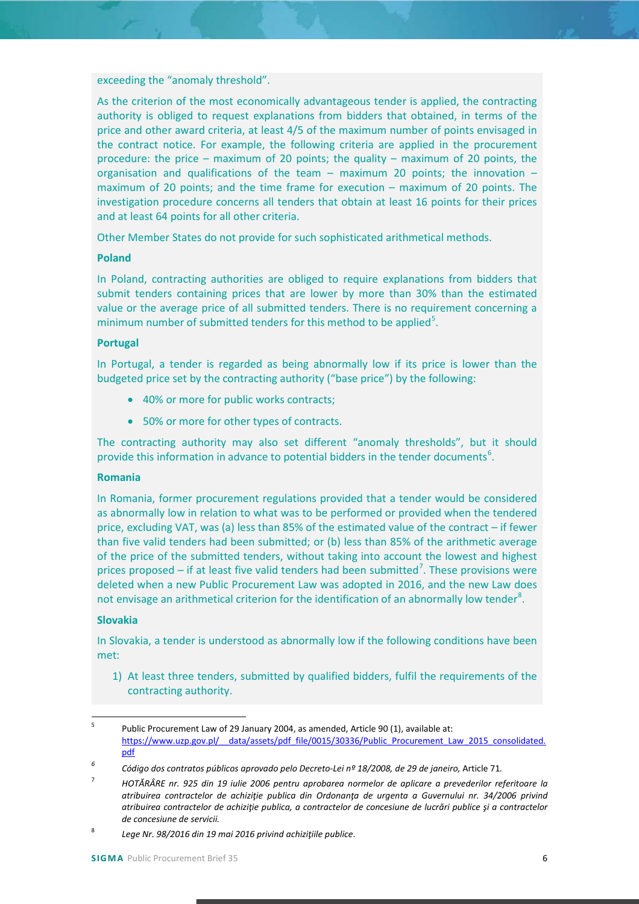exceeding the "anomaly threshold".

As the criterion of the most economically advantageous tender is applied, the contracting authority is obliged to request explanations from bidders that obtained, in terms of the price and other award criteria, at least 4/5 of the maximum number of points envisaged in the contract notice. For example, the following criteria are applied in the procurement procedure: the price – maximum of 20 points; the quality – maximum of 20 points, the organisation and qualifications of the team – maximum 20 points; the innovation – maximum of 20 points; and the time frame for execution – maximum of 20 points. The investigation procedure concerns all tenders that obtain at least 16 points for their prices and at least 64 points for all other criteria.

Other Member States do not provide for such sophisticated arithmetical methods.

#### **Poland**

In Poland, contracting authorities are obliged to require explanations from bidders that submit tenders containing prices that are lower by more than 30% than the estimated value or the average price of all submitted tenders. There is no requirement concerning a minimum number of submitted tenders for this method to be applied<sup>[5](#page-5-0)</sup>.

#### **Portugal**

In Portugal, a tender is regarded as being abnormally low if its price is lower than the budgeted price set by the contracting authority ("base price") by the following:

- 40% or more for public works contracts;
- 50% or more for other types of contracts.

The contracting authority may also set different "anomaly thresholds", but it should provide this information in advance to potential bidders in the tender documents<sup>[6](#page-5-1)</sup>.

#### **Romania**

In Romania, former procurement regulations provided that a tender would be considered as abnormally low in relation to what was to be performed or provided when the tendered price, excluding VAT, was (a) less than 85% of the estimated value of the contract – if fewer than five valid tenders had been submitted; or (b) less than 85% of the arithmetic average of the price of the submitted tenders, without taking into account the lowest and highest prices proposed  $-$  if at least five valid tenders had been submitted<sup>[7](#page-5-2)</sup>. These provisions were deleted when a new Public Procurement Law was adopted in 2016, and the new Law does not envisage an arithmetical criterion for the identification of an abnormally low tender<sup>[8](#page-5-3)</sup>.

#### **Slovakia**

In Slovakia, a tender is understood as abnormally low if the following conditions have been met:

1) At least three tenders, submitted by qualified bidders, fulfil the requirements of the contracting authority.

<span id="page-5-1"></span>*<sup>6</sup> Código dos contratos públicos aprovado pelo Decreto-Lei nº 18/2008, de 29 de janeiro,* Article 71*.*

<span id="page-5-0"></span> <sup>5</sup> Public Procurement Law of 29 January 2004, as amended, Article 90 (1), available at: https://www.uzp.gov.pl/ data/assets/pdf file/0015/30336/Public\_Procurement\_Law\_2015\_consolidated. [pdf](https://www.uzp.gov.pl/__data/assets/pdf_file/0015/30336/Public_Procurement_Law_2015_consolidated.pdf)

<span id="page-5-2"></span><sup>7</sup> *HOTĂRÂRE nr. 925 din 19 iulie 2006 pentru aprobarea normelor de aplicare a prevederilor referitoare la atribuirea contractelor de achiziţie publica din Ordonanţa de urgenta a Guvernului nr. 34/2006 privind atribuirea contractelor de achiziţie publica, a contractelor de concesiune de lucrări publice şi a contractelor de concesiune de servicii.*

<span id="page-5-3"></span><sup>8</sup> *Lege Nr. 98/2016 din 19 mai 2016 privind achiziţiile publice*.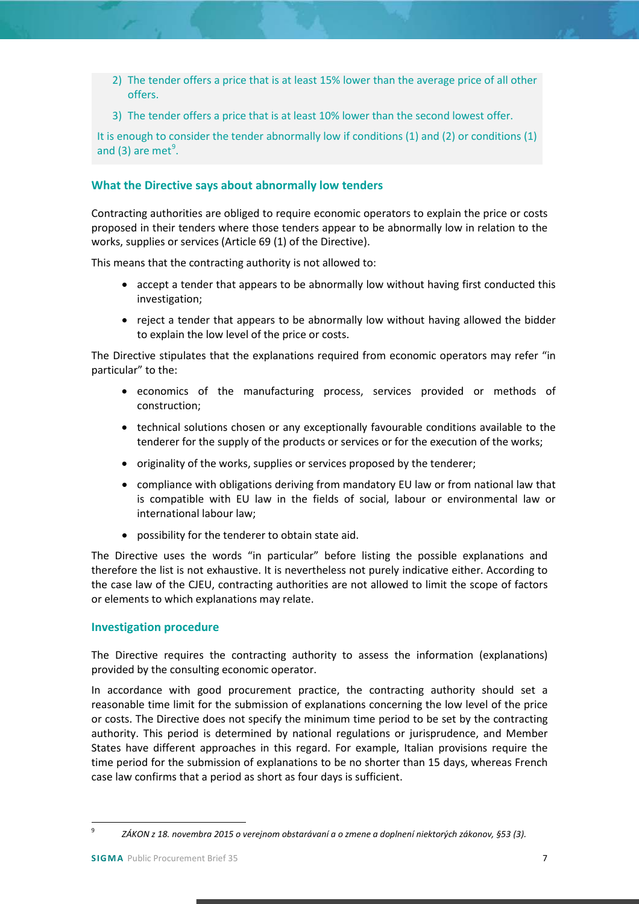- 2) The tender offers a price that is at least 15% lower than the average price of all other offers.
- 3) The tender offers a price that is at least 10% lower than the second lowest offer.

It is enough to consider the tender abnormally low if conditions (1) and (2) or conditions (1) and (3) are met $9$ .

## <span id="page-6-0"></span>**What the Directive says about abnormally low tenders**

Contracting authorities are obliged to require economic operators to explain the price or costs proposed in their tenders where those tenders appear to be abnormally low in relation to the works, supplies or services (Article 69 (1) of the Directive).

This means that the contracting authority is not allowed to:

- accept a tender that appears to be abnormally low without having first conducted this investigation;
- reject a tender that appears to be abnormally low without having allowed the bidder to explain the low level of the price or costs.

The Directive stipulates that the explanations required from economic operators may refer "in particular" to the:

- economics of the manufacturing process, services provided or methods of construction;
- technical solutions chosen or any exceptionally favourable conditions available to the tenderer for the supply of the products or services or for the execution of the works;
- originality of the works, supplies or services proposed by the tenderer;
- compliance with obligations deriving from mandatory EU law or from national law that is compatible with EU law in the fields of social, labour or environmental law or international labour law;
- possibility for the tenderer to obtain state aid.

The Directive uses the words "in particular" before listing the possible explanations and therefore the list is not exhaustive. It is nevertheless not purely indicative either. According to the case law of the CJEU, contracting authorities are not allowed to limit the scope of factors or elements to which explanations may relate.

## <span id="page-6-1"></span>**Investigation procedure**

The Directive requires the contracting authority to assess the information (explanations) provided by the consulting economic operator.

In accordance with good procurement practice, the contracting authority should set a reasonable time limit for the submission of explanations concerning the low level of the price or costs. The Directive does not specify the minimum time period to be set by the contracting authority. This period is determined by national regulations or jurisprudence, and Member States have different approaches in this regard. For example, Italian provisions require the time period for the submission of explanations to be no shorter than 15 days, whereas French case law confirms that a period as short as four days is sufficient.

<span id="page-6-2"></span> <sup>9</sup> *ZÁKON z 18. novembra 2015 o verejnom obstarávaní a o zmene a doplnení niektorých zákonov, §53 (3).*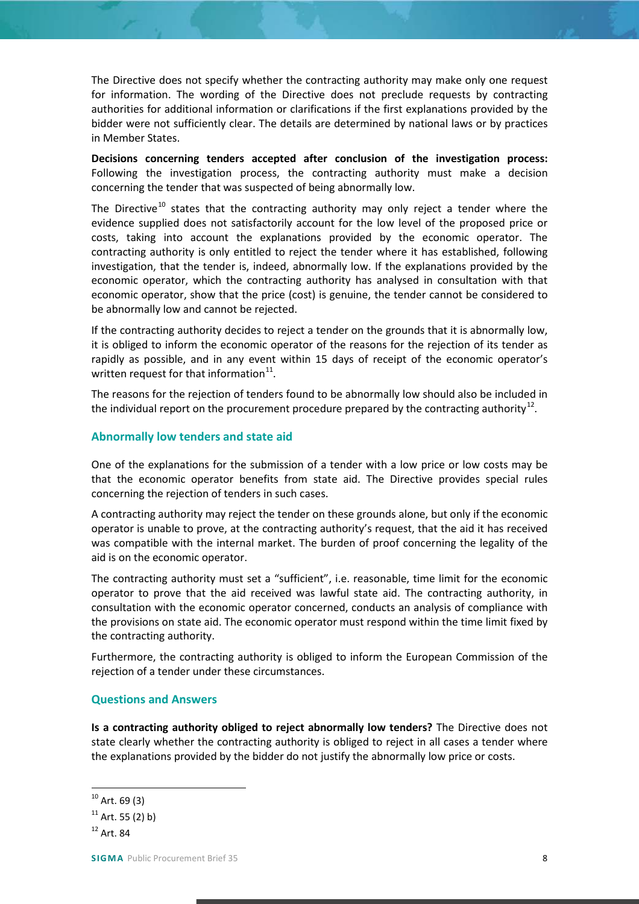The Directive does not specify whether the contracting authority may make only one request for information. The wording of the Directive does not preclude requests by contracting authorities for additional information or clarifications if the first explanations provided by the bidder were not sufficiently clear. The details are determined by national laws or by practices in Member States.

**Decisions concerning tenders accepted after conclusion of the investigation process:**  Following the investigation process, the contracting authority must make a decision concerning the tender that was suspected of being abnormally low.

The Directive<sup>[10](#page-7-2)</sup> states that the contracting authority may only reject a tender where the evidence supplied does not satisfactorily account for the low level of the proposed price or costs, taking into account the explanations provided by the economic operator. The contracting authority is only entitled to reject the tender where it has established, following investigation, that the tender is, indeed, abnormally low. If the explanations provided by the economic operator, which the contracting authority has analysed in consultation with that economic operator, show that the price (cost) is genuine, the tender cannot be considered to be abnormally low and cannot be rejected.

If the contracting authority decides to reject a tender on the grounds that it is abnormally low, it is obliged to inform the economic operator of the reasons for the rejection of its tender as rapidly as possible, and in any event within 15 days of receipt of the economic operator's written request for that information $11$ .

The reasons for the rejection of tenders found to be abnormally low should also be included in the individual report on the procurement procedure prepared by the contracting authority<sup>12</sup>.

## <span id="page-7-0"></span>**Abnormally low tenders and state aid**

One of the explanations for the submission of a tender with a low price or low costs may be that the economic operator benefits from state aid. The Directive provides special rules concerning the rejection of tenders in such cases.

A contracting authority may reject the tender on these grounds alone, but only if the economic operator is unable to prove, at the contracting authority's request, that the aid it has received was compatible with the internal market. The burden of proof concerning the legality of the aid is on the economic operator.

The contracting authority must set a "sufficient", i.e. reasonable, time limit for the economic operator to prove that the aid received was lawful state aid. The contracting authority, in consultation with the economic operator concerned, conducts an analysis of compliance with the provisions on state aid. The economic operator must respond within the time limit fixed by the contracting authority.

Furthermore, the contracting authority is obliged to inform the European Commission of the rejection of a tender under these circumstances.

## <span id="page-7-1"></span>**Questions and Answers**

**Is a contracting authority obliged to reject abnormally low tenders?** The Directive does not state clearly whether the contracting authority is obliged to reject in all cases a tender where the explanations provided by the bidder do not justify the abnormally low price or costs.

<span id="page-7-2"></span> $10$  Art. 69 (3)

<span id="page-7-3"></span> $11$  Art. 55 (2) b)

<span id="page-7-4"></span> $12$  Art. 84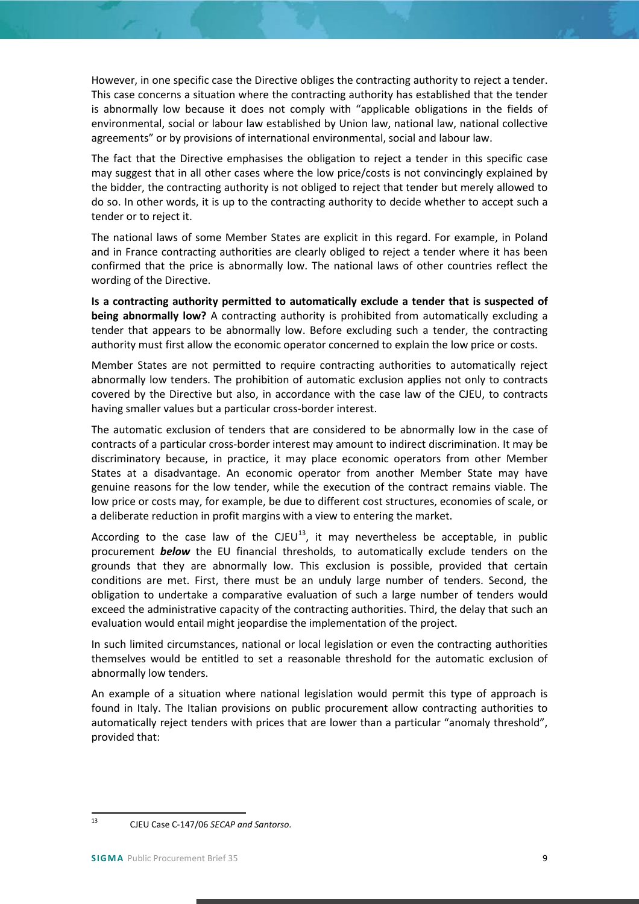However, in one specific case the Directive obliges the contracting authority to reject a tender. This case concerns a situation where the contracting authority has established that the tender is abnormally low because it does not comply with "applicable obligations in the fields of environmental, social or labour law established by Union law, national law, national collective agreements" or by provisions of international environmental, social and labour law.

The fact that the Directive emphasises the obligation to reject a tender in this specific case may suggest that in all other cases where the low price/costs is not convincingly explained by the bidder, the contracting authority is not obliged to reject that tender but merely allowed to do so. In other words, it is up to the contracting authority to decide whether to accept such a tender or to reject it.

The national laws of some Member States are explicit in this regard. For example, in Poland and in France contracting authorities are clearly obliged to reject a tender where it has been confirmed that the price is abnormally low. The national laws of other countries reflect the wording of the Directive.

**Is a contracting authority permitted to automatically exclude a tender that is suspected of being abnormally low?** A contracting authority is prohibited from automatically excluding a tender that appears to be abnormally low. Before excluding such a tender, the contracting authority must first allow the economic operator concerned to explain the low price or costs.

Member States are not permitted to require contracting authorities to automatically reject abnormally low tenders. The prohibition of automatic exclusion applies not only to contracts covered by the Directive but also, in accordance with the case law of the CJEU, to contracts having smaller values but a particular cross-border interest.

The automatic exclusion of tenders that are considered to be abnormally low in the case of contracts of a particular cross-border interest may amount to indirect discrimination. It may be discriminatory because, in practice, it may place economic operators from other Member States at a disadvantage. An economic operator from another Member State may have genuine reasons for the low tender, while the execution of the contract remains viable. The low price or costs may, for example, be due to different cost structures, economies of scale, or a deliberate reduction in profit margins with a view to entering the market.

According to the case law of the CJEU<sup>13</sup>, it may nevertheless be acceptable, in public procurement *below* the EU financial thresholds, to automatically exclude tenders on the grounds that they are abnormally low. This exclusion is possible, provided that certain conditions are met. First, there must be an unduly large number of tenders. Second, the obligation to undertake a comparative evaluation of such a large number of tenders would exceed the administrative capacity of the contracting authorities. Third, the delay that such an evaluation would entail might jeopardise the implementation of the project.

In such limited circumstances, national or local legislation or even the contracting authorities themselves would be entitled to set a reasonable threshold for the automatic exclusion of abnormally low tenders.

An example of a situation where national legislation would permit this type of approach is found in Italy. The Italian provisions on public procurement allow contracting authorities to automatically reject tenders with prices that are lower than a particular "anomaly threshold", provided that:

<span id="page-8-0"></span> <sup>13</sup> CJEU Case C-147/06 *SECAP and Santorso*.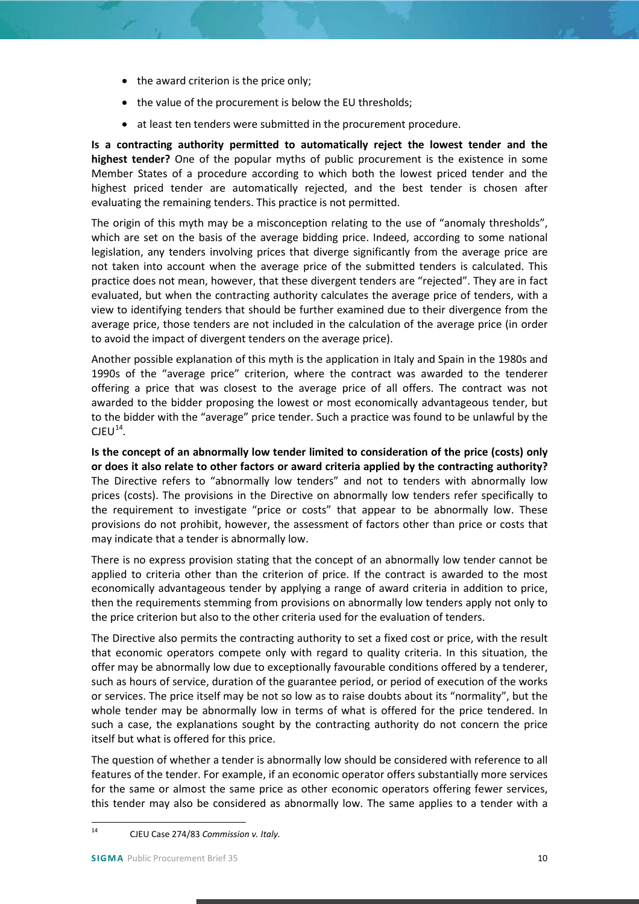- the award criterion is the price only:
- the value of the procurement is below the EU thresholds;
- at least ten tenders were submitted in the procurement procedure.

**Is a contracting authority permitted to automatically reject the lowest tender and the highest tender?** One of the popular myths of public procurement is the existence in some Member States of a procedure according to which both the lowest priced tender and the highest priced tender are automatically rejected, and the best tender is chosen after evaluating the remaining tenders. This practice is not permitted.

The origin of this myth may be a misconception relating to the use of "anomaly thresholds", which are set on the basis of the average bidding price. Indeed, according to some national legislation, any tenders involving prices that diverge significantly from the average price are not taken into account when the average price of the submitted tenders is calculated. This practice does not mean, however, that these divergent tenders are "rejected". They are in fact evaluated, but when the contracting authority calculates the average price of tenders, with a view to identifying tenders that should be further examined due to their divergence from the average price, those tenders are not included in the calculation of the average price (in order to avoid the impact of divergent tenders on the average price).

Another possible explanation of this myth is the application in Italy and Spain in the 1980s and 1990s of the "average price" criterion, where the contract was awarded to the tenderer offering a price that was closest to the average price of all offers. The contract was not awarded to the bidder proposing the lowest or most economically advantageous tender, but to the bidder with the "average" price tender. Such a practice was found to be unlawful by the  $CJEU<sup>14</sup>$  $CJEU<sup>14</sup>$  $CJEU<sup>14</sup>$ .

**Is the concept of an abnormally low tender limited to consideration of the price (costs) only or does it also relate to other factors or award criteria applied by the contracting authority?** The Directive refers to "abnormally low tenders" and not to tenders with abnormally low prices (costs). The provisions in the Directive on abnormally low tenders refer specifically to the requirement to investigate "price or costs" that appear to be abnormally low. These provisions do not prohibit, however, the assessment of factors other than price or costs that may indicate that a tender is abnormally low.

There is no express provision stating that the concept of an abnormally low tender cannot be applied to criteria other than the criterion of price. If the contract is awarded to the most economically advantageous tender by applying a range of award criteria in addition to price, then the requirements stemming from provisions on abnormally low tenders apply not only to the price criterion but also to the other criteria used for the evaluation of tenders.

The Directive also permits the contracting authority to set a fixed cost or price, with the result that economic operators compete only with regard to quality criteria. In this situation, the offer may be abnormally low due to exceptionally favourable conditions offered by a tenderer, such as hours of service, duration of the guarantee period, or period of execution of the works or services. The price itself may be not so low as to raise doubts about its "normality", but the whole tender may be abnormally low in terms of what is offered for the price tendered. In such a case, the explanations sought by the contracting authority do not concern the price itself but what is offered for this price.

The question of whether a tender is abnormally low should be considered with reference to all features of the tender. For example, if an economic operator offers substantially more services for the same or almost the same price as other economic operators offering fewer services, this tender may also be considered as abnormally low. The same applies to a tender with a

<span id="page-9-0"></span> <sup>14</sup> CJEU Case 274/83 *Commission v. Italy.*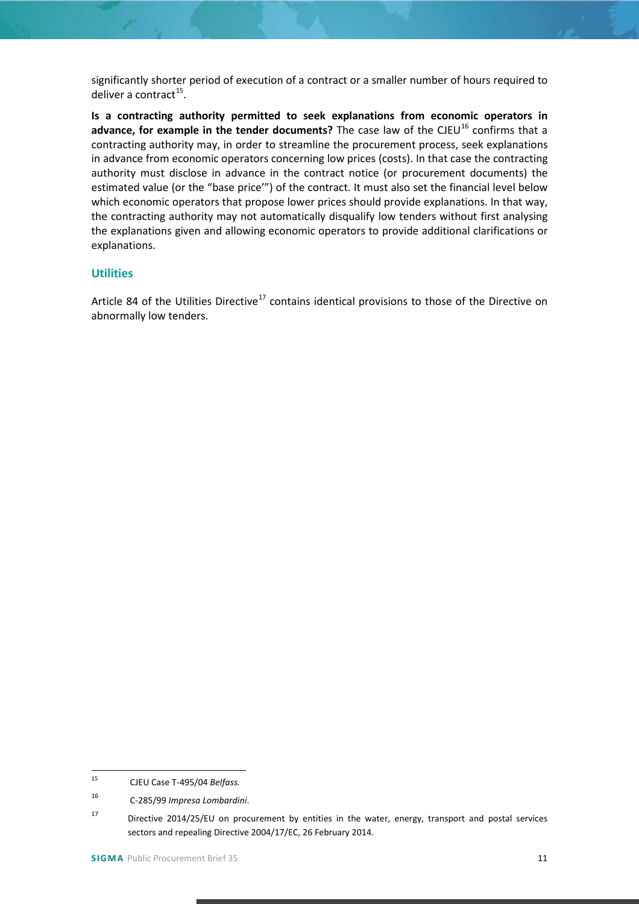significantly shorter period of execution of a contract or a smaller number of hours required to deliver a contract<sup>15</sup>.

**Is a contracting authority permitted to seek explanations from economic operators in**  advance, for example in the tender documents? The case law of the CJEU<sup>[16](#page-10-2)</sup> confirms that a contracting authority may, in order to streamline the procurement process, seek explanations in advance from economic operators concerning low prices (costs). In that case the contracting authority must disclose in advance in the contract notice (or procurement documents) the estimated value (or the "base price'") of the contract. It must also set the financial level below which economic operators that propose lower prices should provide explanations. In that way, the contracting authority may not automatically disqualify low tenders without first analysing the explanations given and allowing economic operators to provide additional clarifications or explanations.

## <span id="page-10-0"></span>**Utilities**

Article 84 of the Utilities Directive<sup>[17](#page-10-3)</sup> contains identical provisions to those of the Directive on abnormally low tenders.

<span id="page-10-1"></span> <sup>15</sup> CJEU Case T-495/04 *Belfass.*

<span id="page-10-2"></span><sup>16</sup> C-285/99 *Impresa Lombardini*.

<span id="page-10-3"></span><sup>17</sup> Directive 2014/25/EU on procurement by entities in the water, energy, transport and postal services sectors and repealing Directive 2004/17/EC, 26 February 2014.